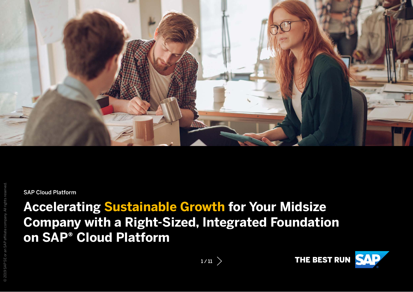

© 2019 SAP SE or an SAP affiliate company. All rights reserved.

SAP Cloud Platform

# **Accelerating Sustainable Growth for Your Midsize Company with a Right-Sized, Integrated Foundation on SAP® Cloud Platform**

THE BEST RUN SAP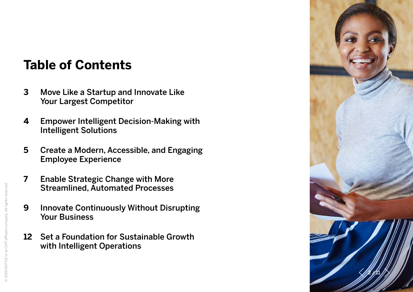# **Table of Contents**

- **[3](#page-2-0)** [Move Like a Startup and Innovate Like](#page-2-0)  [Your Largest Competitor](#page-2-0)
- **[4](#page-3-0)** [Empower Intelligent Decision-Making with](#page-3-0)  [Intelligent Solutions](#page-3-0)
- **[5](#page-4-0)** [Create a Modern, Accessible, and Engaging](#page-4-0)  [Employee Experience](#page-4-0)
- **[7](#page-6-0)** [Enable Strategic Change with More](#page-6-0)  [Streamlined, Automated Processes](#page-6-0)
- **[9](#page-8-0)** [Innovate Continuously Without Disrupting](#page-8-0)  [Your Business](#page-8-0)
- **[12](#page-10-0)** [Set a Foundation for Sustainable Growth](#page-10-0)  [with Intelligent Operations](#page-10-0)

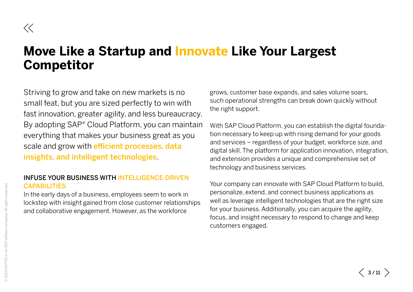# <span id="page-2-0"></span>**Move Like a Startup and Innovate Like Your Largest Competitor**

Striving to grow and take on new markets is no small feat, but you are sized perfectly to win with fast innovation, greater agility, and less bureaucracy. By adopting SAP® Cloud Platform, you can maintain everything that makes your business great as you scale and grow with *efficient* processes, data insights, and intelligent technologies.

### INFUSE YOUR BUSINESS WITH INTELLIGENCE-DRIVEN CAPABILITIES

In the early days of a business, employees seem to work in lockstep with insight gained from close customer relationships and collaborative engagement. However, as the workforce

grows, customer base expands, and sales volume soars, such operational strengths can break down quickly without the right support.

With SAP Cloud Platform, you can establish the digital foundation necessary to keep up with rising demand for your goods and services – regardless of your budget, workforce size, and digital skill. The platform for application innovation, integration, and extension provides a unique and comprehensive set of technology and business services.

Your company can innovate with SAP Cloud Platform to build, personalize, extend, and connect business applications as well as leverage intelligent technologies that are the right size for your business. Additionally, you can acquire the agility, focus, and insight necessary to respond to change and keep customers engaged.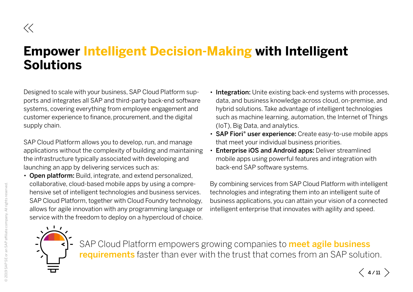# <span id="page-3-0"></span>**Empower Intelligent Decision-Making with Intelligent Solutions**

Designed to scale with your business, SAP Cloud Platform supports and integrates all SAP and third-party back-end software systems, covering everything from employee engagement and customer experience to finance, procurement, and the digital supply chain.

SAP Cloud Platform allows you to develop, run, and manage applications without the complexity of building and maintaining the infrastructure typically associated with developing and launching an app by delivering services such as:

• Open platform: Build, integrate, and extend personalized, collaborative, cloud-based mobile apps by using a comprehensive set of intelligent technologies and business services. SAP Cloud Platform, together with Cloud Foundry technology, allows for agile innovation with any programming language or service with the freedom to deploy on a hypercloud of choice.

- Integration: Unite existing back-end systems with processes, data, and business knowledge across cloud, on-premise, and hybrid solutions. Take advantage of intelligent technologies such as machine learning, automation, the Internet of Things (IoT), Big Data, and analytics.
- SAP Fiori<sup>®</sup> user experience: Create easy-to-use mobile apps that meet your individual business priorities.
- Enterprise iOS and Android apps: Deliver streamlined mobile apps using powerful features and integration with back-end SAP software systems.

By combining services from SAP Cloud Platform with intelligent technologies and integrating them into an intelligent suite of business applications, you can attain your vision of a connected intelligent enterprise that innovates with agility and speed.

 $\langle$  4/11  $\rangle$ 



SAP Cloud Platform empowers growing companies to **meet agile business** requirements faster than ever with the trust that comes from an SAP solution.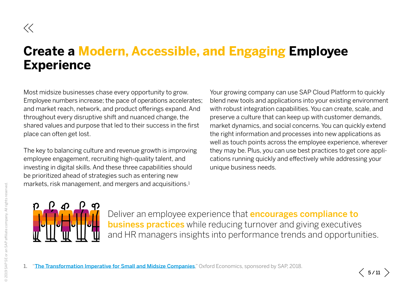# <span id="page-4-0"></span>**Create a Modern, Accessible, and Engaging Employee Experience**

Most midsize businesses chase every opportunity to grow. Employee numbers increase; the pace of operations accelerates; and market reach, network, and product offerings expand. And throughout every disruptive shift and nuanced change, the shared values and purpose that led to their success in the first place can often get lost.

The key to balancing culture and revenue growth is improving employee engagement, recruiting high-quality talent, and investing in digital skills. And these three capabilities should be prioritized ahead of strategies such as entering new markets, risk management, and mergers and acquisitions.<sup>1</sup>

Your growing company can use SAP Cloud Platform to quickly blend new tools and applications into your existing environment with robust integration capabilities. You can create, scale, and preserve a culture that can keep up with customer demands, market dynamics, and social concerns. You can quickly extend the right information and processes into new applications as well as touch points across the employee experience, wherever they may be. Plus, you can use best practices to get core applications running quickly and effectively while addressing your unique business needs.



Deliver an employee experience that **encourages compliance to business practices** while reducing turnover and giving executives and HR managers insights into performance trends and opportunities.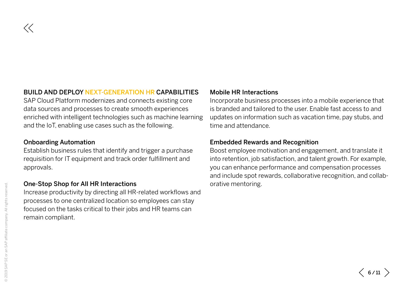### BUILD AND DEPLOY NEXT-GENERATION HR CAPABILITIES

SAP Cloud Platform modernizes and connects existing core data sources and processes to create smooth experiences enriched with intelligent technologies such as machine learning and the IoT, enabling use cases such as the following.

#### Onboarding Automation

 $\ll$ 

Establish business rules that identify and trigger a purchase requisition for IT equipment and track order fulfillment and approvals.

#### One-Stop Shop for All HR Interactions

Increase productivity by directing all HR-related workflows and processes to one centralized location so employees can stay focused on the tasks critical to their jobs and HR teams can remain compliant.

### Mobile HR Interactions

Incorporate business processes into a mobile experience that is branded and tailored to the user. Enable fast access to and updates on information such as vacation time, pay stubs, and time and attendance.

#### Embedded Rewards and Recognition

Boost employee motivation and engagement, and translate it into retention, job satisfaction, and talent growth. For example, you can enhance performance and compensation processes and include spot rewards, collaborative recognition, and collaborative mentoring.

 $\langle$  6/11  $\rangle$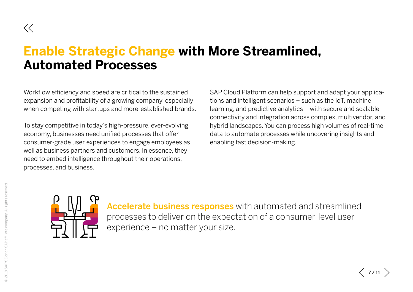## <span id="page-6-0"></span>**Enable Strategic Change with More Streamlined, Automated Processes**

Workflow efficiency and speed are critical to the sustained expansion and profitability of a growing company, especially when competing with startups and more-established brands.

To stay competitive in today's high-pressure, ever-evolving economy, businesses need unified processes that offer consumer-grade user experiences to engage employees as well as business partners and customers. In essence, they need to embed intelligence throughout their operations, processes, and business.

SAP Cloud Platform can help support and adapt your applications and intelligent scenarios – such as the IoT, machine learning, and predictive analytics – with secure and scalable connectivity and integration across complex, multivendor, and hybrid landscapes. You can process high volumes of real-time data to automate processes while uncovering insights and enabling fast decision-making.



Accelerate business responses with automated and streamlined processes to deliver on the expectation of a consumer-level user experience – no matter your size.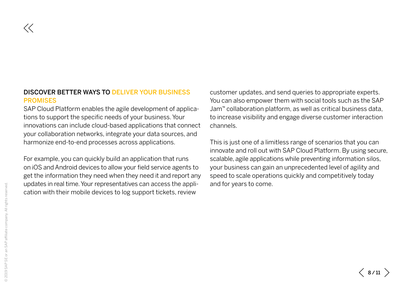### DISCOVER BETTER WAYS TO DELIVER YOUR BUSINESS **PROMISES**

SAP Cloud Platform enables the agile development of applications to support the specific needs of your business. Your innovations can include cloud-based applications that connect your collaboration networks, integrate your data sources, and harmonize end-to-end processes across applications.

For example, you can quickly build an application that runs on iOS and Android devices to allow your field service agents to get the information they need when they need it and report any updates in real time. Your representatives can access the application with their mobile devices to log support tickets, review

customer updates, and send queries to appropriate experts. You can also empower them with social tools such as the SAP Jam™ collaboration platform, as well as critical business data, to increase visibility and engage diverse customer interaction channels.

This is just one of a limitless range of scenarios that you can innovate and roll out with SAP Cloud Platform. By using secure, scalable, agile applications while preventing information silos, your business can gain an unprecedented level of agility and speed to scale operations quickly and competitively today and for years to come.

 $\ll$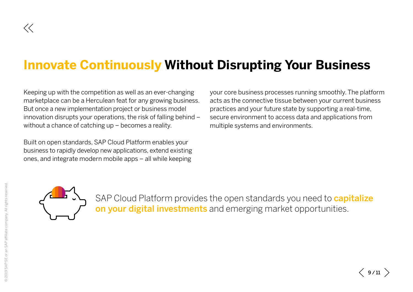# <span id="page-8-0"></span>**Innovate Continuously Without Disrupting Your Business**

Keeping up with the competition as well as an ever-changing marketplace can be a Herculean feat for any growing business. But once a new implementation project or business model innovation disrupts your operations, the risk of falling behind – without a chance of catching up – becomes a reality.

Built on open standards, SAP Cloud Platform enables your business to rapidly develop new applications, extend existing ones, and integrate modern mobile apps – all while keeping

your core business processes running smoothly. The platform acts as the connective tissue between your current business practices and your future state by supporting a real-time, secure environment to access data and applications from multiple systems and environments.



SAP Cloud Platform provides the open standards you need to **capitalize** on your digital investments and emerging market opportunities.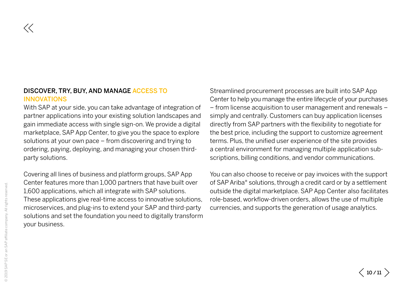### DISCOVER, TRY, BUY, AND MANAGE ACCESS TO INNOVATIONS

With SAP at your side, you can take advantage of integration of partner applications into your existing solution landscapes and gain immediate access with single sign-on. We provide a digital marketplace, SAP App Center, to give you the space to explore solutions at your own pace – from discovering and trying to ordering, paying, deploying, and managing your chosen thirdparty solutions.

Covering all lines of business and platform groups, SAP App Center features more than 1,000 partners that have built over 1,600 applications, which all integrate with SAP solutions. These applications give real-time access to innovative solutions, microservices, and plug-ins to extend your SAP and third-party solutions and set the foundation you need to digitally transform your business.

Streamlined procurement processes are built into SAP App Center to help you manage the entire lifecycle of your purchases – from license acquisition to user management and renewals – simply and centrally. Customers can buy application licenses directly from SAP partners with the flexibility to negotiate for the best price, including the support to customize agreement terms. Plus, the unified user experience of the site provides a central environment for managing multiple application subscriptions, billing conditions, and vendor communications.

You can also choose to receive or pay invoices with the support of SAP Ariba® solutions, through a credit card or by a settlement outside the digital marketplace. SAP App Center also facilitates role-based, workflow-driven orders, allows the use of multiple currencies, and supports the generation of usage analytics.

 $\ll$ 

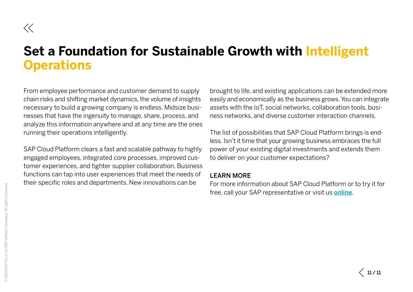### <span id="page-10-0"></span>**Set a Foundation for Sustainable Growth with Intelligent Operations**

From employee performance and customer demand to supply chain risks and shifting market dynamics, the volume of insights necessary to build a growing company is endless. Midsize businesses that have the ingenuity to manage, share, process, and analyze this information anywhere and at any time are the ones running their operations intelligently.

SAP Cloud Platform clears a fast and scalable pathway to highly engaged employees, integrated core processes, improved customer experiences, and tighter supplier collaboration. Business functions can tap into user experiences that meet the needs of their specific roles and departments. New innovations can be

brought to life, and existing applications can be extended more easily and economically as the business grows. You can integrate assets with the IoT, social networks, collaboration tools, business networks, and diverse customer interaction channels.

The list of possibilities that SAP Cloud Platform brings is endless. Isn't it time that your growing business embraces the full power of your existing digital investments and extends them to deliver on your customer expectations?

### LEARN MORE

For more information about SAP Cloud Platform or to try it for free, call your SAP representative or visit us **[online](https://cloudplatform.sap.com/scenarios/usecases.html)**.